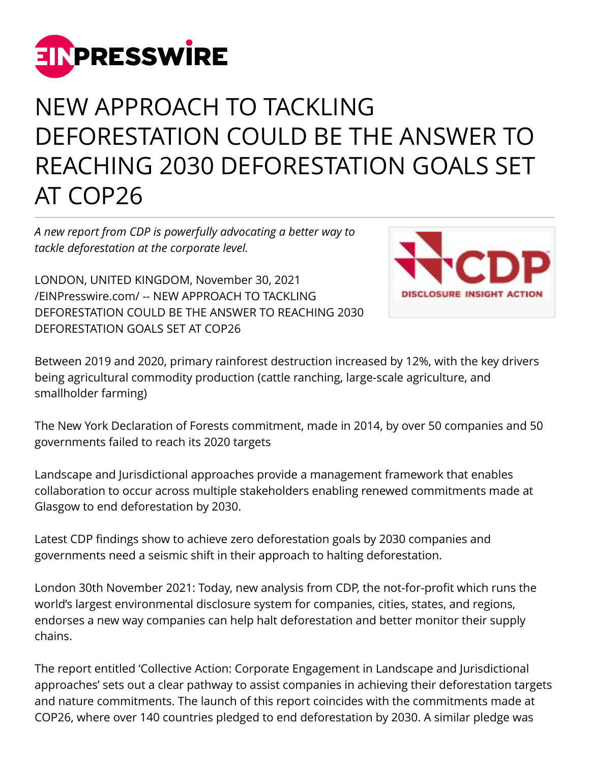

## NEW APPROACH TO TACKLING DEFORESTATION COULD BE THE ANSWER TO REACHING 2030 DEFORESTATION GOALS SET AT COP26

*A new report from CDP is powerfully advocating a better way to tackle deforestation at the corporate level.*

LONDON, UNITED KINGDOM, November 30, 2021 [/EINPresswire.com/](http://www.einpresswire.com) -- NEW APPROACH TO TACKLING DEFORESTATION COULD BE THE ANSWER TO REACHING 2030 DEFORESTATION GOALS SET AT COP26



Between 2019 and 2020, primary rainforest destruction increased by 12%, with the key drivers being agricultural commodity production (cattle ranching, large-scale agriculture, and smallholder farming)

The New York Declaration of Forests commitment, made in 2014, by over 50 companies and 50 governments failed to reach its 2020 targets

Landscape and Jurisdictional approaches provide a management framework that enables collaboration to occur across multiple stakeholders enabling renewed commitments made at Glasgow to end deforestation by 2030.

Latest CDP findings show to achieve zero deforestation goals by 2030 companies and governments need a seismic shift in their approach to halting deforestation.

London 30th November 2021: Today, new analysis from CDP, the not-for-profit which runs the world's largest environmental disclosure system for companies, cities, states, and regions, endorses a new way companies can help halt deforestation and better monitor their supply chains.

The report entitled 'Collective Action: Corporate Engagement in Landscape and Jurisdictional approaches' sets out a clear pathway to assist companies in achieving their deforestation targets and nature commitments. The launch of this report coincides with the commitments made at COP26, where over 140 countries pledged to end deforestation by 2030. A similar pledge was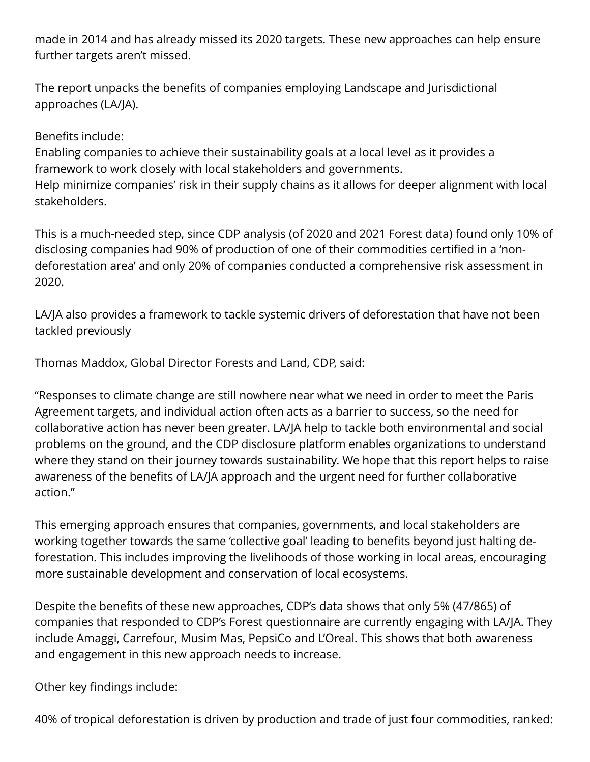made in 2014 and has already missed its 2020 targets. These new approaches can help ensure further targets aren't missed.

The report unpacks the benefits of companies employing Landscape and Jurisdictional approaches (LA/JA).

## Benefits include:

Enabling companies to achieve their sustainability goals at a local level as it provides a framework to work closely with local stakeholders and governments. Help minimize companies' risk in their supply chains as it allows for deeper alignment with local stakeholders.

This is a much-needed step, since CDP analysis (of 2020 and 2021 Forest data) found only 10% of disclosing companies had 90% of production of one of their commodities certified in a 'nondeforestation area' and only 20% of companies conducted a comprehensive risk assessment in 2020.

LA/JA also provides a framework to tackle systemic drivers of deforestation that have not been tackled previously

Thomas Maddox, Global Director Forests and Land, CDP, said:

"Responses to climate change are still nowhere near what we need in order to meet the Paris Agreement targets, and individual action often acts as a barrier to success, so the need for collaborative action has never been greater. LA/JA help to tackle both environmental and social problems on the ground, and the CDP disclosure platform enables organizations to understand where they stand on their journey towards sustainability. We hope that this report helps to raise awareness of the benefits of LA/JA approach and the urgent need for further collaborative action."

This emerging approach ensures that companies, governments, and local stakeholders are working together towards the same 'collective goal' leading to benefits beyond just halting deforestation. This includes improving the livelihoods of those working in local areas, encouraging more sustainable development and conservation of local ecosystems.

Despite the benefits of these new approaches, CDP's data shows that only 5% (47/865) of companies that responded to CDP's Forest questionnaire are currently engaging with LA/JA. They include Amaggi, Carrefour, Musim Mas, PepsiCo and L'Oreal. This shows that both awareness and engagement in this new approach needs to increase.

Other key findings include:

40% of tropical deforestation is driven by production and trade of just four commodities, ranked: